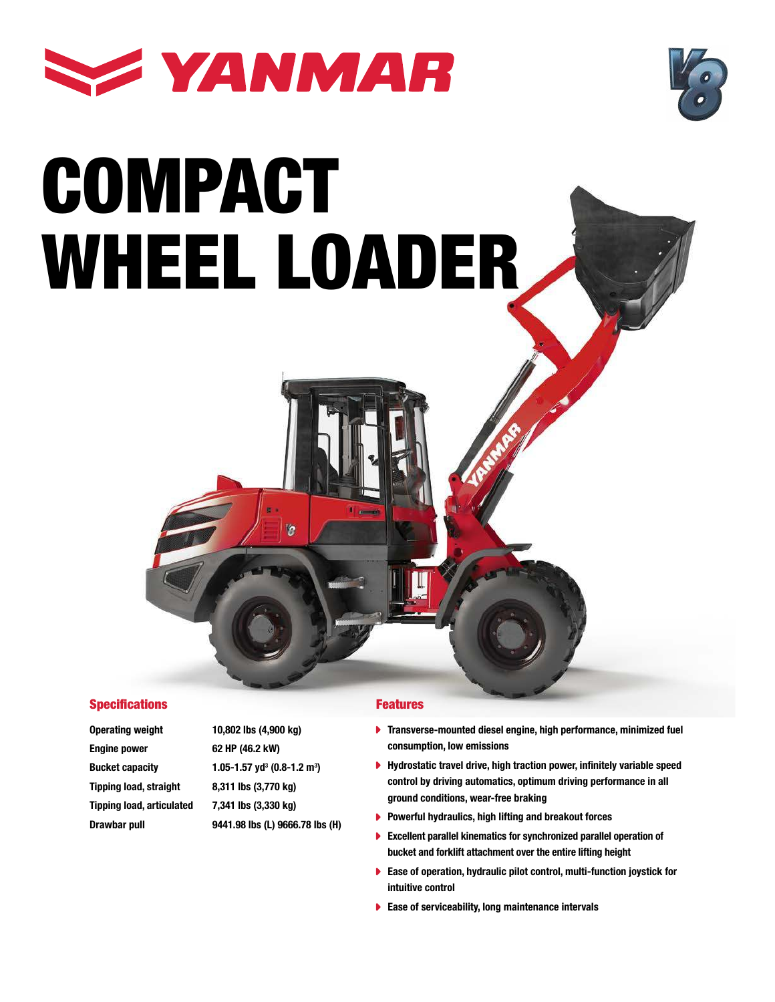



# COMPACT WHEEL LOADER



Engine power 62 HP (46.2 kW) **Bucket capacity** Tipping load, straight 8,311 lbs (3,770 kg) Tipping load, articulated 7,341 lbs (3,330 kg) Drawbar pull 9441.98 lbs (L) 9666.78 lbs (H)

Operating weight 10,802 lbs (4,900 kg)  $(0.8 - 1.2)$  m<sup>3</sup>)

ï9

#### Features

- **Transverse-mounted diesel engine, high performance, minimized fuel** consumption, low emissions
- ▶ Hydrostatic travel drive, high traction power, infinitely variable speed control by driving automatics, optimum driving performance in all ground conditions, wear-free braking
- $\blacktriangleright$  Powerful hydraulics, high lifting and breakout forces
- Excellent parallel kinematics for synchronized parallel operation of bucket and forklift attachment over the entire lifting height
- ▶ Ease of operation, hydraulic pilot control, multi-function joystick for intuitive control
- $\blacktriangleright$  Ease of serviceability, long maintenance intervals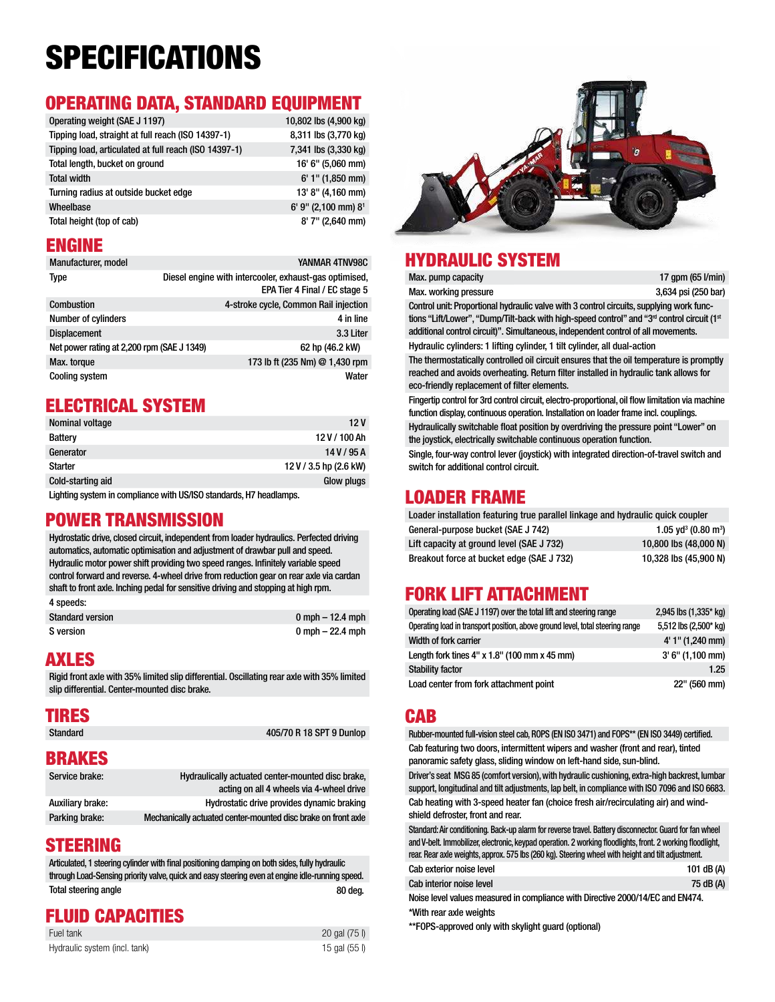## SPECIFICATIONS

#### OPERATING DATA, STANDARD EQUIPMENT

| Operating weight (SAE J 1197)                         | 10,802 lbs (4,900 kg) |
|-------------------------------------------------------|-----------------------|
| Tipping load, straight at full reach (ISO 14397-1)    | 8,311 lbs (3,770 kg)  |
| Tipping load, articulated at full reach (ISO 14397-1) | 7,341 lbs (3,330 kg)  |
| Total length, bucket on ground                        | 16' 6" (5,060 mm)     |
| <b>Total width</b>                                    | $6'$ 1" (1,850 mm)    |
| Turning radius at outside bucket edge                 | 13' 8" (4,160 mm)     |
| Wheelbase                                             | 6' 9" (2,100 mm) 81   |
| Total height (top of cab)                             | $8'$ 7" (2,640 mm)    |

#### ENGINE

| Manufacturer, model                        | YANMAR 4TNV98C                                                                          |
|--------------------------------------------|-----------------------------------------------------------------------------------------|
| <b>Type</b>                                | Diesel engine with intercooler, exhaust-gas optimised,<br>EPA Tier 4 Final / EC stage 5 |
| Combustion                                 | 4-stroke cycle, Common Rail injection                                                   |
| <b>Number of cylinders</b>                 | 4 in line                                                                               |
| <b>Displacement</b>                        | 3.3 Liter                                                                               |
| Net power rating at 2,200 rpm (SAE J 1349) | 62 hp (46.2 kW)                                                                         |
| Max. torque                                | 173 lb ft (235 Nm) @ 1,430 rpm                                                          |
| <b>Cooling system</b>                      | Water                                                                                   |

#### ELECTRICAL SYSTEM

| 12 V                   |
|------------------------|
| 12 V / 100 Ah          |
| 14V/95A                |
| 12 V / 3.5 hp (2.6 kW) |
| <b>Glow plugs</b>      |
|                        |

Lighting system in compliance with US/ISO standards, H7 headlamps.

#### POWER TRANSMISSION

Hydrostatic drive, closed circuit, independent from loader hydraulics. Perfected driving automatics, automatic optimisation and adjustment of drawbar pull and speed. Hydraulic motor power shift providing two speed ranges. Infinitely variable speed control forward and reverse. 4-wheel drive from reduction gear on rear axle via cardan shaft to front axle. Inching pedal for sensitive driving and stopping at high rpm. 4 speeds:

| <b>Standard version</b> | $0 \text{ mph} - 12.4 \text{ mph}$ |
|-------------------------|------------------------------------|
| S version               | 0 mph – 22.4 mph                   |

#### AXLES

Rigid front axle with 35% limited slip differential. Oscillating rear axle with 35% limited slip differential. Center-mounted disc brake.

## **TIRES**<br>Standard

405/70 R 18 SPT 9 Dunlop

#### BRAKES

| Service brake:   | Hydraulically actuated center-mounted disc brake,<br>acting on all 4 wheels via 4-wheel drive |
|------------------|-----------------------------------------------------------------------------------------------|
| Auxiliary brake: | Hydrostatic drive provides dynamic braking                                                    |
| Parking brake:   | Mechanically actuated center-mounted disc brake on front axle                                 |

#### STEERING

Articulated, 1 steering cylinder with final positioning damping on both sides, fully hydraulic through Load-Sensing priority valve, quick and easy steering even at engine idle-running speed. Total steering angle 80 deg.

#### FLUID CAPACITIES

| Fuel tank                     | 20 gal (75 l) |
|-------------------------------|---------------|
| Hydraulic system (incl. tank) | 15 gal (55 l) |



#### HYDRAULIC SYSTEM Max. pump capacity

Max. working pressure

| 17 gpm $(65 \text{ Vmin})$ |
|----------------------------|
| 3.634 psi (250 har)        |

Control unit: Proportional hydraulic valve with 3 control circuits, supplying work functions "Lift/Lower", "Dump/Tilt-back with high-speed control" and "3<sup>rd</sup> control circuit (1st additional control circuit)". Simultaneous, independent control of all movements. Hydraulic cylinders: 1 lifting cylinder, 1 tilt cylinder, all dual-action

The thermostatically controlled oil circuit ensures that the oil temperature is promptly reached and avoids overheating. Return filter installed in hydraulic tank allows for eco-friendly replacement of filter elements.

Fingertip control for 3rd control circuit, electro-proportional, oil flow limitation via machine function display, continuous operation. Installation on loader frame incl. couplings.

Hydraulically switchable float position by overdriving the pressure point "Lower" on the joystick, electrically switchable continuous operation function.

Single, four-way control lever (joystick) with integrated direction-of-travel switch and switch for additional control circuit.

#### LOADER FRAME

| Loader installation featuring true parallel linkage and hydraulic quick coupler |                                             |  |  |
|---------------------------------------------------------------------------------|---------------------------------------------|--|--|
| General-purpose bucket (SAE J 742)                                              | 1.05 yd <sup>3</sup> (0.80 m <sup>3</sup> ) |  |  |
| Lift capacity at ground level (SAE J 732)                                       | 10,800 lbs (48,000 N)                       |  |  |
| Breakout force at bucket edge (SAE J 732)                                       | 10.328 lbs (45.900 N)                       |  |  |

#### FORK LIFT ATTACHMENT

| Operating load (SAE J 1197) over the total lift and steering range             | 2,945 lbs (1,335* kg) |
|--------------------------------------------------------------------------------|-----------------------|
| Operating load in transport position, above ground level, total steering range | 5,512 lbs (2,500* kg) |
| Width of fork carrier                                                          | 4' 1" (1,240 mm)      |
| Length fork tines $4" \times 1.8"$ (100 mm $\times$ 45 mm)                     | $3' 6'' (1,100$ mm)   |
| <b>Stability factor</b>                                                        | 1.25                  |
| Load center from fork attachment point                                         | 22" (560 mm)          |

#### **CAR**

Rubber-mounted full-vision steel cab, ROPS (EN ISO 3471) and FOPS\*\* (EN ISO 3449) certified. Cab featuring two doors, intermittent wipers and washer (front and rear), tinted panoramic safety glass, sliding window on left-hand side, sun-blind.

Driver's seat MSG 85 (comfort version), with hydraulic cushioning, extra-high backrest, lumbar support, longitudinal and tilt adjustments, lap belt, in compliance with ISO 7096 and ISO 6683. Cab heating with 3-speed heater fan (choice fresh air/recirculating air) and windshield defroster, front and rear.

Standard: Air conditioning. Back-up alarm for reverse travel. Battery disconnector. Guard for fan wheel and V-belt. Immobilizer, electronic, keypad operation. 2 working floodlights, front. 2 working floodlight, rear. Rear axle weights, approx. 575 lbs (260 kg). Steering wheel with height and tilt adjustment.

| Cab exterior noise level | 101 dB (A) |
|--------------------------|------------|
| Cab interior noise level | 75 dB (A)  |

Noise level values measured in compliance with Directive 2000/14/EC and EN474. \*With rear axle weights

\*\*FOPS-approved only with skylight guard (optional)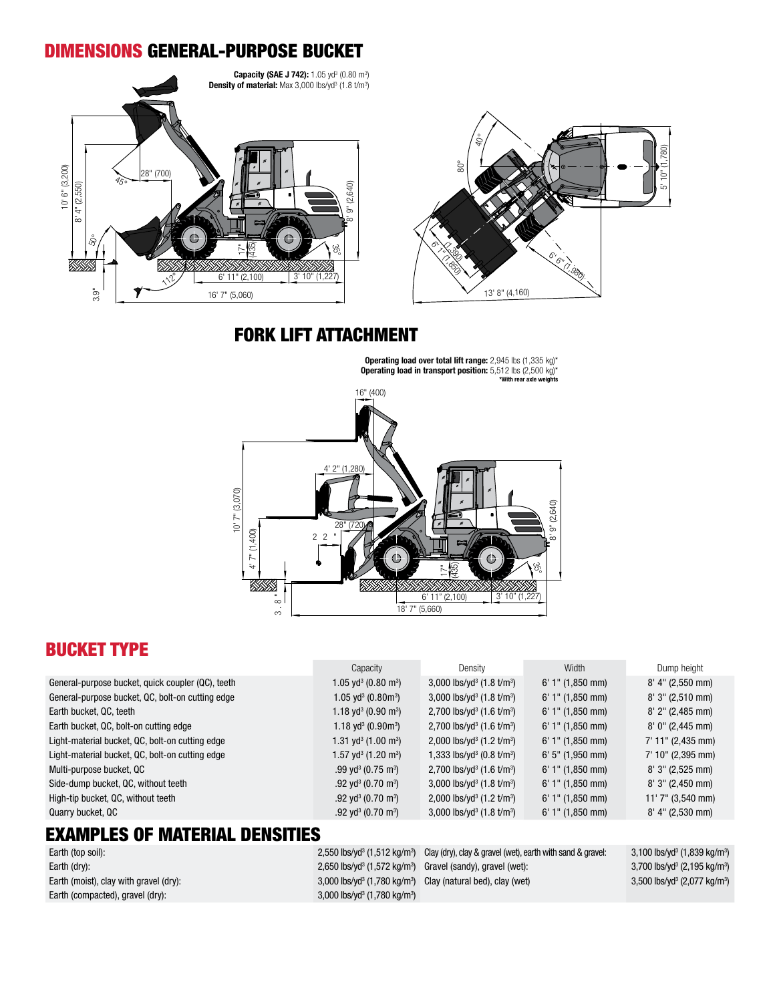#### DIMENSIONS GENERAL-PURPOSE BUCKET





#### FORK LIFT ATTACHMENT

Operating load over total lift range: 2,945 lbs (1,335 kg)\* Operating load in transport position: 5,512 lbs (2,500 kg)\* \*With rear axle weight



#### BUCKET TYPE

|                                                   | Capacity                                    | Density                                           | Width              | Dump height         |
|---------------------------------------------------|---------------------------------------------|---------------------------------------------------|--------------------|---------------------|
| General-purpose bucket, quick coupler (QC), teeth | 1.05 yd $3$ (0.80 m $3)$ )                  | 3,000 lbs/yd <sup>3</sup> $(1.8 \text{ t/m}^3)$   | $6'$ 1" (1,850 mm) | $8'$ 4" (2,550 mm)  |
| General-purpose bucket, QC, bolt-on cutting edge  | 1.05 yd <sup>3</sup> (0.80m <sup>3</sup> )  | 3,000 lbs/yd <sup>3</sup> $(1.8 \text{ t/m}^3)$   | $6'$ 1" (1,850 mm) | $8'3''$ (2,510 mm)  |
| Earth bucket, QC, teeth                           | 1.18 yd <sup>3</sup> (0.90 m <sup>3</sup> ) | 2,700 lbs/yd <sup>3</sup> (1.6 t/m <sup>3</sup> ) | $6'$ 1" (1,850 mm) | $8'$ 2" (2,485 mm)  |
| Earth bucket, QC, bolt-on cutting edge            | 1.18 yd $3(0.90 \text{m}^3)$                | 2,700 lbs/yd <sup>3</sup> $(1.6 \text{ t/m}^3)$   | $6'$ 1" (1,850 mm) | $8'$ 0" (2,445 mm)  |
| Light-material bucket, QC, bolt-on cutting edge   | 1.31 yd <sup>3</sup> (1.00 m <sup>3</sup> ) | 2,000 lbs/yd <sup>3</sup> $(1.2 \text{ t/m}^3)$   | $6'$ 1" (1,850 mm) | $7'$ 11" (2,435 mm) |
| Light-material bucket, QC, bolt-on cutting edge   | 1.57 yd $3$ (1.20 m $3)$ )                  | 1,333 lbs/yd <sup>3</sup> (0.8 t/m <sup>3</sup> ) | $6'$ 5" (1,950 mm) | $7'$ 10" (2,395 mm) |
| Multi-purpose bucket, QC                          | .99 yd <sup>3</sup> (0.75 m <sup>3</sup> )  | 2,700 lbs/yd <sup>3</sup> $(1.6 \text{ t/m}^3)$   | $6'$ 1" (1,850 mm) | $8'3''$ (2,525 mm)  |
| Side-dump bucket, QC, without teeth               | .92 yd <sup>3</sup> (0.70 m <sup>3</sup> )  | 3,000 lbs/yd <sup>3</sup> (1.8 t/m <sup>3</sup> ) | $6'$ 1" (1,850 mm) | $8'3''$ (2,450 mm)  |
| High-tip bucket, QC, without teeth                | .92 yd <sup>3</sup> (0.70 m <sup>3</sup> )  | 2,000 lbs/yd <sup>3</sup> $(1.2 \text{ t/m}^3)$   | $6'$ 1" (1,850 mm) | $11'$ 7" (3,540 mm) |
| Quarry bucket, QC                                 | .92 yd <sup>3</sup> (0.70 m <sup>3</sup> )  | 3,000 lbs/yd <sup>3</sup> $(1.8 \text{ t/m}^3)$   | $6'$ 1" (1,850 mm) | $8'$ 4" (2,530 mm)  |
|                                                   |                                             |                                                   |                    |                     |

#### EXAMPLES OF MATERIAL DENSITIES

Earth (top soil): Earth (moist), clay with gravel (dry): Earth (compacted), gravel (dry):

 $(1,512 \text{ kg/m}^3)$  Clay (dry), clay & gravel (wet), earth with sand & gravel:  $3,100 \text{ lbs/yd}^3$ Earth (dry): 2,650 lbs/yd<sup>3</sup> (1,572 kg/m<sup>3</sup>) Gravel (sandy), gravel (wet): 3,700 lbs/yd<sup>3</sup> 5,700 lbs/yd<sup>3</sup>  $(1,780 \text{ kg/m}^3)$  Clay (natural bed), clay (wet) 3,500 lbs/yd<sup>3</sup> (1,780 kg/m<sup>3</sup> )

 $(1,839 \text{ kg/m}^3)$  (2,195 kg/m<sup>3</sup> ) (2,077 kg/m<sup>3</sup> )